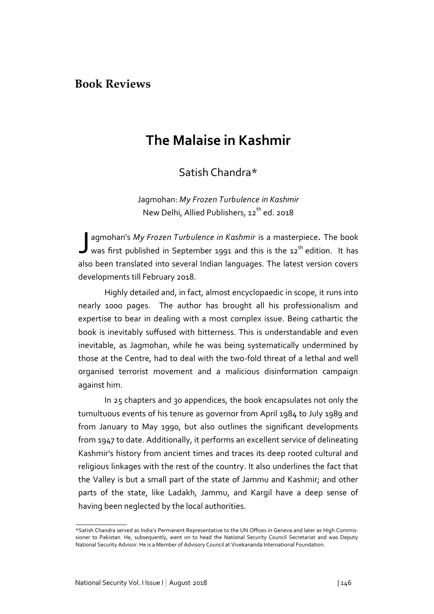## **Book Reviews**

## **The Malaise in Kashmir**

Satish Chandra\*

Jagmohan: *My Frozen Turbulence in Kashmir* New Delhi, Allied Publishers, 12<sup>th</sup> ed. 2018

J agmohan's *My Frozen Turbulence in Kashmir* is a masterpiece**.** The book was first published in September 1991 and this is the  $12^{th}$  edition. It has also been translated into several Indian languages. The latest version covers developments till February 2018.

Highly detailed and, in fact, almost encyclopaedic in scope, it runs into nearly 1000 pages. The author has brought all his professionalism and expertise to bear in dealing with a most complex issue. Being cathartic the book is inevitably suffused with bitterness. This is understandable and even inevitable, as Jagmohan, while he was being systematically undermined by those at the Centre, had to deal with the two-fold threat of a lethal and well organised terrorist movement and a malicious disinformation campaign against him.

In 25 chapters and 30 appendices, the book encapsulates not only the tumultuous events of his tenure as governor from April 1984 to July 1989 and from January to May 1990, but also outlines the significant developments from 1947 to date. Additionally, it performs an excellent service of delineating Kashmir's history from ancient times and traces its deep rooted cultural and religious linkages with the rest of the country. It also underlines the fact that the Valley is but a small part of the state of Jammu and Kashmir; and other parts of the state, like Ladakh, Jammu, and Kargil have a deep sense of having been neglected by the local authorities.

<sup>\*</sup>Satish Chandra served as India's Permanent Representative to the UN Offices in Geneva and later as High Commissioner to Pakistan. He, subsequently, went on to head the National Security Council Secretariat and was Deputy National Security Advisor. He is a Member of Advisory Council at Vivekananda International Foundation.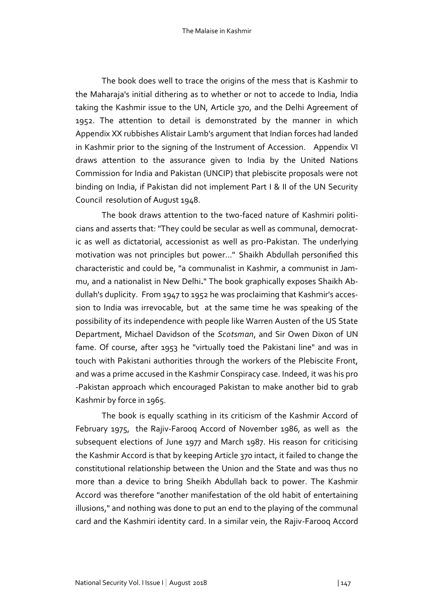The Malaise in Kashmir

The book does well to trace the origins of the mess that is Kashmir to the Maharaja's initial dithering as to whether or not to accede to India, India taking the Kashmir issue to the UN, Article 370, and the Delhi Agreement of 1952. The attention to detail is demonstrated by the manner in which Appendix XX rubbishes Alistair Lamb's argument that Indian forces had landed in Kashmir prior to the signing of the Instrument of Accession. Appendix VI draws attention to the assurance given to India by the United Nations Commission for India and Pakistan (UNCIP) that plebiscite proposals were not binding on India, if Pakistan did not implement Part I & II of the UN Security Council resolution of August 1948.

The book draws attention to the two-faced nature of Kashmiri politicians and asserts that: "They could be secular as well as communal, democratic as well as dictatorial, accessionist as well as pro-Pakistan. The underlying motivation was not principles but power..." Shaikh Abdullah personified this characteristic and could be, "a communalist in Kashmir, a communist in Jammu, and a nationalist in New Delhi**.**" The book graphically exposes Shaikh Abdullah's duplicity. From 1947 to 1952 he was proclaiming that Kashmir's accession to India was irrevocable, but at the same time he was speaking of the possibility of its independence with people like Warren Austen of the US State Department, Michael Davidson of the *Scotsman*, and Sir Owen Dixon of UN fame. Of course, after 1953 he "virtually toed the Pakistani line" and was in touch with Pakistani authorities through the workers of the Plebiscite Front, and was a prime accused in the Kashmir Conspiracy case. Indeed, it was his pro -Pakistan approach which encouraged Pakistan to make another bid to grab Kashmir by force in 1965.

The book is equally scathing in its criticism of the Kashmir Accord of February 1975, the Rajiv-Farooq Accord of November 1986, as well as the subsequent elections of June 1977 and March 1987. His reason for criticising the Kashmir Accord is that by keeping Article 370 intact, it failed to change the constitutional relationship between the Union and the State and was thus no more than a device to bring Sheikh Abdullah back to power. The Kashmir Accord was therefore "another manifestation of the old habit of entertaining illusions," and nothing was done to put an end to the playing of the communal card and the Kashmiri identity card. In a similar vein, the Rajiv-Farooq Accord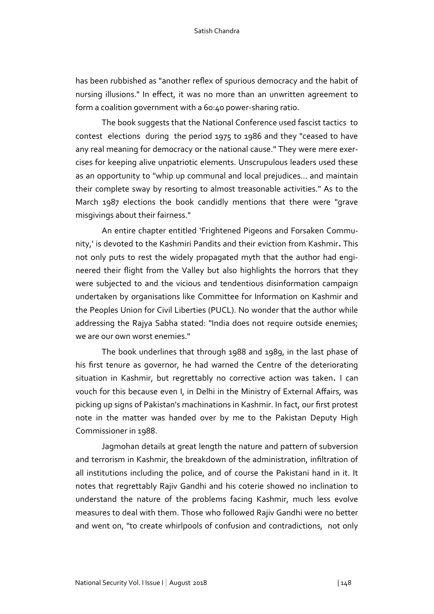has been rubbished as "another reflex of spurious democracy and the habit of nursing illusions." In effect, it was no more than an unwritten agreement to form a coalition government with a 60:40 power-sharing ratio.

The book suggests that the National Conference used fascist tactics to contest elections during the period 1975 to 1986 and they "ceased to have any real meaning for democracy or the national cause." They were mere exercises for keeping alive unpatriotic elements. Unscrupulous leaders used these as an opportunity to "whip up communal and local prejudices... and maintain their complete sway by resorting to almost treasonable activities." As to the March 1987 elections the book candidly mentions that there were "grave misgivings about their fairness."

An entire chapter entitled 'Frightened Pigeons and Forsaken Community,' is devoted to the Kashmiri Pandits and their eviction from Kashmir**.** This not only puts to rest the widely propagated myth that the author had engineered their flight from the Valley but also highlights the horrors that they were subjected to and the vicious and tendentious disinformation campaign undertaken by organisations like Committee for Information on Kashmir and the Peoples Union for Civil Liberties (PUCL). No wonder that the author while addressing the Rajya Sabha stated: "India does not require outside enemies; we are our own worst enemies."

The book underlines that through 1988 and 1989, in the last phase of his first tenure as governor, he had warned the Centre of the deteriorating situation in Kashmir, but regrettably no corrective action was taken**.** I can vouch for this because even I, in Delhi in the Ministry of External Affairs, was picking up signs of Pakistan's machinations in Kashmir. In fact, our first protest note in the matter was handed over by me to the Pakistan Deputy High Commissioner in 1988.

Jagmohan details at great length the nature and pattern of subversion and terrorism in Kashmir, the breakdown of the administration, infiltration of all institutions including the police, and of course the Pakistani hand in it. It notes that regrettably Rajiv Gandhi and his coterie showed no inclination to understand the nature of the problems facing Kashmir, much less evolve measures to deal with them. Those who followed Rajiv Gandhi were no better and went on, "to create whirlpools of confusion and contradictions, not only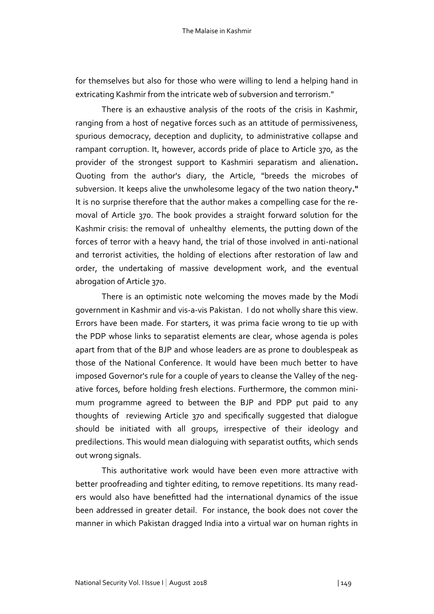for themselves but also for those who were willing to lend a helping hand in extricating Kashmir from the intricate web of subversion and terrorism."

There is an exhaustive analysis of the roots of the crisis in Kashmir, ranging from a host of negative forces such as an attitude of permissiveness, spurious democracy, deception and duplicity, to administrative collapse and rampant corruption. It, however, accords pride of place to Article 370, as the provider of the strongest support to Kashmiri separatism and alienation**.** Quoting from the author's diary, the Article, "breeds the microbes of subversion. It keeps alive the unwholesome legacy of the two nation theory**."**  It is no surprise therefore that the author makes a compelling case for the removal of Article 370. The book provides a straight forward solution for the Kashmir crisis: the removal of unhealthy elements, the putting down of the forces of terror with a heavy hand, the trial of those involved in anti-national and terrorist activities, the holding of elections after restoration of law and order, the undertaking of massive development work, and the eventual abrogation of Article 370.

There is an optimistic note welcoming the moves made by the Modi government in Kashmir and vis-a-vis Pakistan. I do not wholly share this view. Errors have been made. For starters, it was prima facie wrong to tie up with the PDP whose links to separatist elements are clear, whose agenda is poles apart from that of the BJP and whose leaders are as prone to doublespeak as those of the National Conference. It would have been much better to have imposed Governor's rule for a couple of years to cleanse the Valley of the negative forces, before holding fresh elections. Furthermore, the common minimum programme agreed to between the BJP and PDP put paid to any thoughts of reviewing Article 370 and specifically suggested that dialogue should be initiated with all groups, irrespective of their ideology and predilections. This would mean dialoguing with separatist outfits, which sends out wrong signals.

This authoritative work would have been even more attractive with better proofreading and tighter editing, to remove repetitions. Its many readers would also have benefitted had the international dynamics of the issue been addressed in greater detail. For instance, the book does not cover the manner in which Pakistan dragged India into a virtual war on human rights in